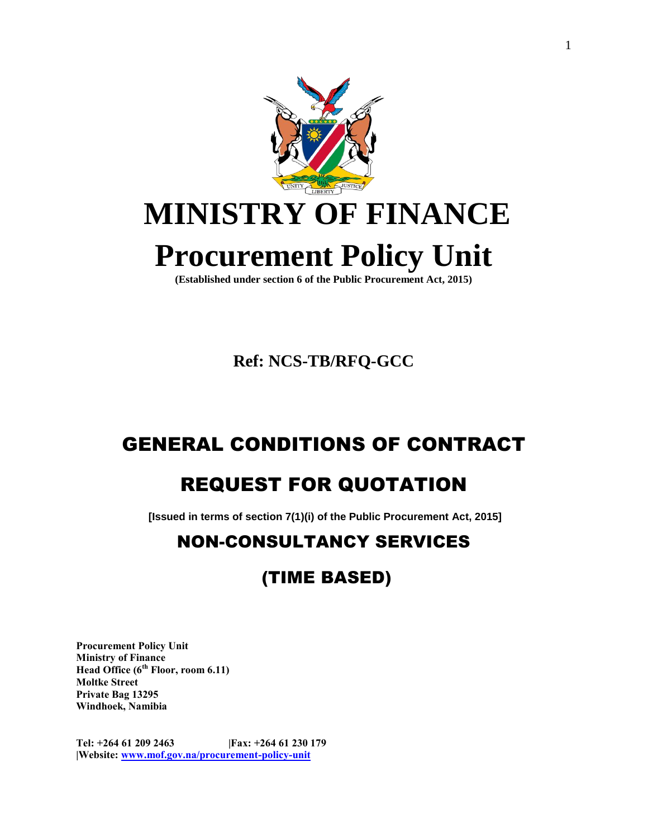

**Ref: NCS-TB/RFQ-GCC**

# GENERAL CONDITIONS OF CONTRACT

# REQUEST FOR QUOTATION

**[Issued in terms of section 7(1)(i) of the Public Procurement Act, 2015]**

## NON-CONSULTANCY SERVICES

## (TIME BASED)

**Procurement Policy Unit Ministry of Finance Head Office (6th Floor, room 6.11) Moltke Street Private Bag 13295 Windhoek, Namibia**

**Tel: +264 61 209 2463 |Fax: +264 61 230 179 |Website: [www.mof.gov.na/procurement-policy-unit](http://www.mof.gov.na/procurement-policy-unit)**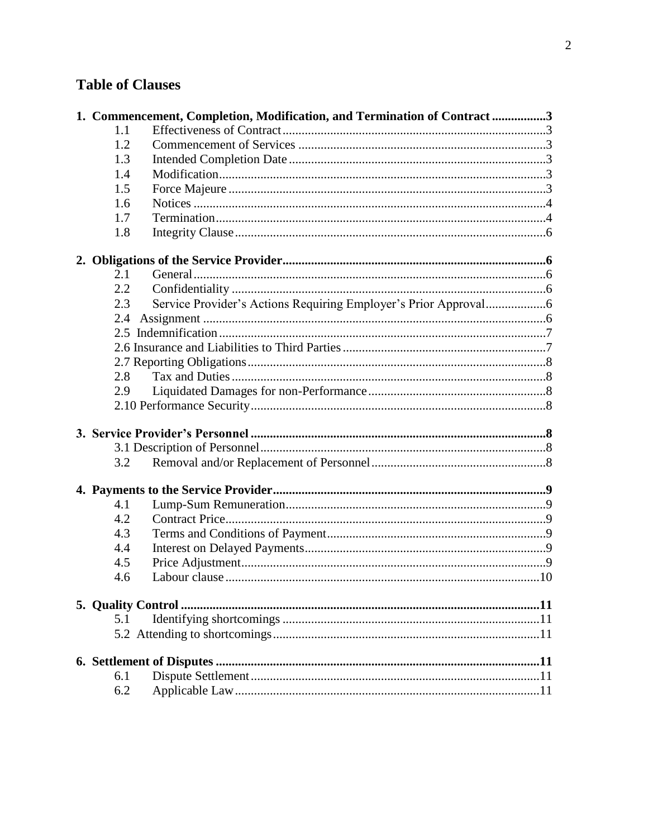## **Table of Clauses**

| 1. Commencement, Completion, Modification, and Termination of Contract3 |  |     |
|-------------------------------------------------------------------------|--|-----|
| 1.1                                                                     |  |     |
| 1.2                                                                     |  |     |
| 1.3                                                                     |  |     |
| 1.4                                                                     |  |     |
| 1.5                                                                     |  |     |
| 1.6                                                                     |  |     |
| 1.7                                                                     |  |     |
| 1.8                                                                     |  |     |
|                                                                         |  |     |
| 2.1                                                                     |  |     |
| 2.2                                                                     |  |     |
| 2.3                                                                     |  |     |
| 2.4                                                                     |  |     |
|                                                                         |  |     |
|                                                                         |  |     |
|                                                                         |  |     |
| 2.8                                                                     |  |     |
| 2.9                                                                     |  |     |
|                                                                         |  |     |
|                                                                         |  |     |
|                                                                         |  |     |
| 3.2                                                                     |  |     |
|                                                                         |  |     |
| 4.1                                                                     |  |     |
| 4.2                                                                     |  |     |
| 4.3                                                                     |  |     |
| 4.4                                                                     |  |     |
| 4.5                                                                     |  |     |
| 4.6                                                                     |  |     |
|                                                                         |  |     |
| 5.1                                                                     |  |     |
|                                                                         |  |     |
|                                                                         |  |     |
| 6.1                                                                     |  |     |
| 6.2                                                                     |  | .11 |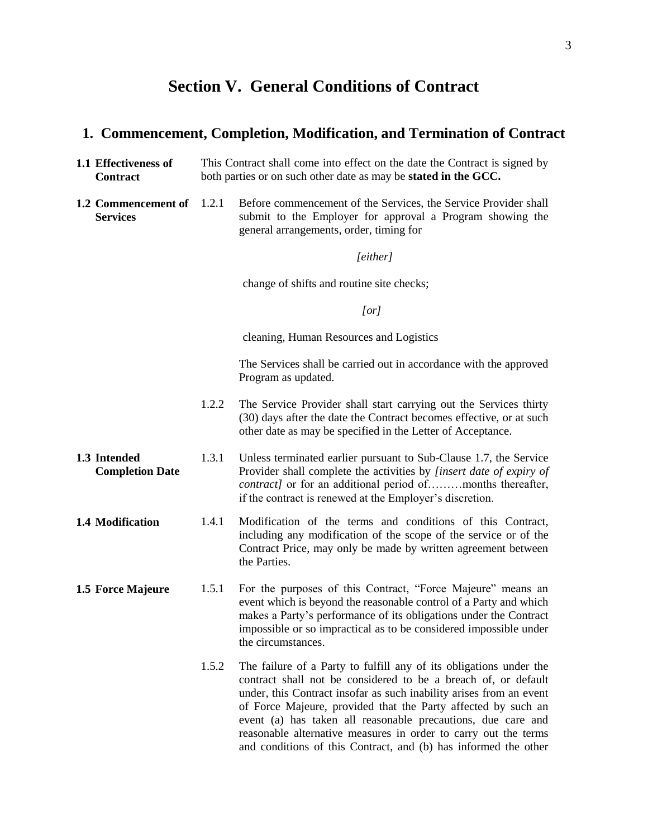## **Section V. General Conditions of Contract**

### <span id="page-2-0"></span>**1. Commencement, Completion, Modification, and Termination of Contract**

- <span id="page-2-1"></span>**1.1 Effectiveness of Contract** This Contract shall come into effect on the date the Contract is signed by both parties or on such other date as may be **stated in the GCC.**
- <span id="page-2-2"></span>**1.2 Commencement of Services** Before commencement of the Services, the Service Provider shall submit to the Employer for approval a Program showing the general arrangements, order, timing for

#### *[either]*

change of shifts and routine site checks;

#### *[or]*

cleaning, Human Resources and Logistics

The Services shall be carried out in accordance with the approved Program as updated.

- 1.2.2 The Service Provider shall start carrying out the Services thirty (30) days after the date the Contract becomes effective, or at such other date as may be specified in the Letter of Acceptance.
- <span id="page-2-3"></span>**1.3 Intended Completion Date** 1.3.1 Unless terminated earlier pursuant to Sub-Clause 1.7, the Service Provider shall complete the activities by *[insert date of expiry of contract]* or for an additional period of………months thereafter, if the contract is renewed at the Employer's discretion.
- <span id="page-2-4"></span>**1.4 Modification** 1.4.1 Modification of the terms and conditions of this Contract, including any modification of the scope of the service or of the Contract Price, may only be made by written agreement between the Parties.
- <span id="page-2-5"></span>**1.5** Force Majeure 1.5.1 For the purposes of this Contract, "Force Majeure" means an event which is beyond the reasonable control of a Party and which makes a Party's performance of its obligations under the Contract impossible or so impractical as to be considered impossible under the circumstances.
	- 1.5.2 The failure of a Party to fulfill any of its obligations under the contract shall not be considered to be a breach of, or default under, this Contract insofar as such inability arises from an event of Force Majeure, provided that the Party affected by such an event (a) has taken all reasonable precautions, due care and reasonable alternative measures in order to carry out the terms and conditions of this Contract, and (b) has informed the other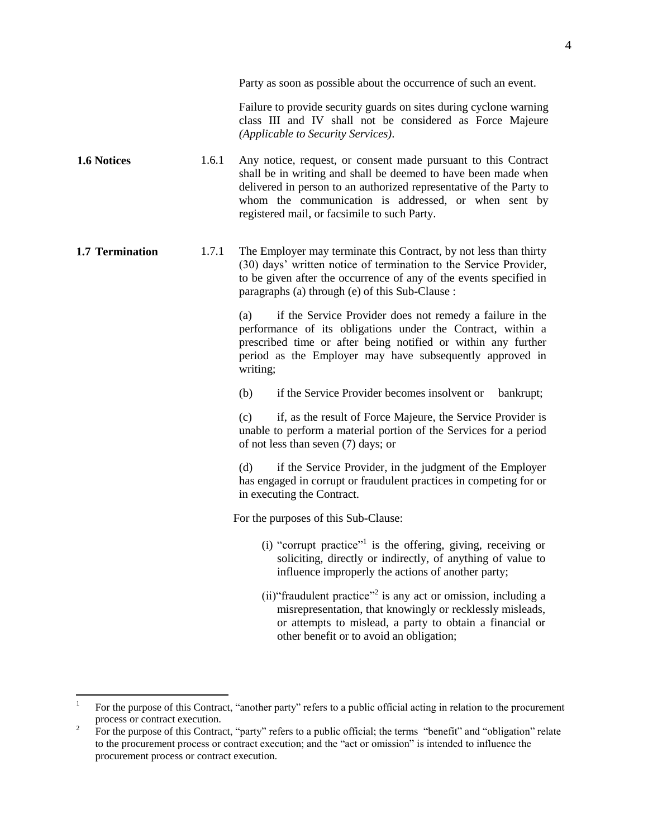4

Party as soon as possible about the occurrence of such an event.

Failure to provide security guards on sites during cyclone warning class III and IV shall not be considered as Force Majeure *(Applicable to Security Services)*.

- <span id="page-3-0"></span>**1.6 Notices** 1.6.1 Any notice, request, or consent made pursuant to this Contract shall be in writing and shall be deemed to have been made when delivered in person to an authorized representative of the Party to whom the communication is addressed, or when sent by registered mail, or facsimile to such Party.
- <span id="page-3-1"></span>**1.7 Termination** 1.7.1 The Employer may terminate this Contract, by not less than thirty (30) days' written notice of termination to the Service Provider, to be given after the occurrence of any of the events specified in paragraphs (a) through (e) of this Sub-Clause :

(a) if the Service Provider does not remedy a failure in the performance of its obligations under the Contract, within a prescribed time or after being notified or within any further period as the Employer may have subsequently approved in writing;

(b) if the Service Provider becomes insolvent or bankrupt;

(c) if, as the result of Force Majeure, the Service Provider is unable to perform a material portion of the Services for a period of not less than seven (7) days; or

(d) if the Service Provider, in the judgment of the Employer has engaged in corrupt or fraudulent practices in competing for or in executing the Contract.

For the purposes of this Sub-Clause:

- (i) "corrupt practice"<sup>1</sup> is the offering, giving, receiving or soliciting, directly or indirectly, of anything of value to influence improperly the actions of another party;
- (ii) "fraudulent practice"<sup>2</sup> is any act or omission, including a misrepresentation, that knowingly or recklessly misleads, or attempts to mislead, a party to obtain a financial or other benefit or to avoid an obligation;

 $\overline{a}$ 

<sup>1</sup> For the purpose of this Contract, "another party" refers to a public official acting in relation to the procurement process or contract execution.

<sup>2</sup> For the purpose of this Contract, "party" refers to a public official; the terms "benefit" and "obligation" relate to the procurement process or contract execution; and the "act or omission" is intended to influence the procurement process or contract execution.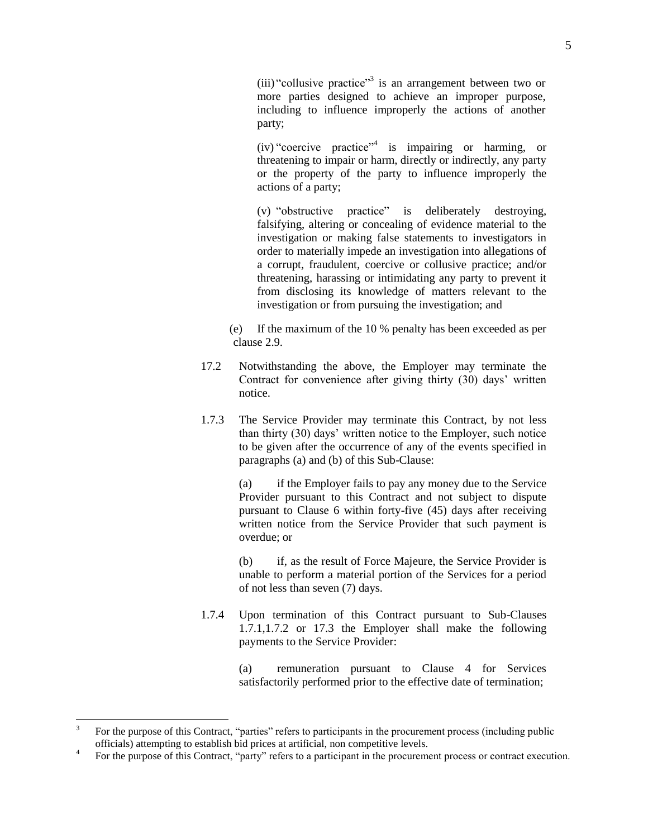(iii) "collusive practice"<sup>3</sup> is an arrangement between two or more parties designed to achieve an improper purpose, including to influence improperly the actions of another party;

(iv) "coercive practice"<sup>4</sup> is impairing or harming, or threatening to impair or harm, directly or indirectly, any party or the property of the party to influence improperly the actions of a party;

(v) "obstructive practice" is deliberately destroying, falsifying, altering or concealing of evidence material to the investigation or making false statements to investigators in order to materially impede an investigation into allegations of a corrupt, fraudulent, coercive or collusive practice; and/or threatening, harassing or intimidating any party to prevent it from disclosing its knowledge of matters relevant to the investigation or from pursuing the investigation; and

 (e) If the maximum of the 10 % penalty has been exceeded as per clause 2.9.

- 17.2 Notwithstanding the above, the Employer may terminate the Contract for convenience after giving thirty (30) days' written notice.
- 1.7.3 The Service Provider may terminate this Contract, by not less than thirty (30) days' written notice to the Employer, such notice to be given after the occurrence of any of the events specified in paragraphs (a) and (b) of this Sub-Clause:

(a) if the Employer fails to pay any money due to the Service Provider pursuant to this Contract and not subject to dispute pursuant to Clause 6 within forty-five (45) days after receiving written notice from the Service Provider that such payment is overdue; or

(b) if, as the result of Force Majeure, the Service Provider is unable to perform a material portion of the Services for a period of not less than seven (7) days.

1.7.4 Upon termination of this Contract pursuant to Sub-Clauses 1.7.1,1.7.2 or 17.3 the Employer shall make the following payments to the Service Provider:

> (a) remuneration pursuant to Clause 4 for Services satisfactorily performed prior to the effective date of termination;

<sup>&</sup>lt;sup>2</sup><br>3 For the purpose of this Contract, "parties" refers to participants in the procurement process (including public officials) attempting to establish bid prices at artificial, non competitive levels.

<sup>4</sup> For the purpose of this Contract, "party" refers to a participant in the procurement process or contract execution.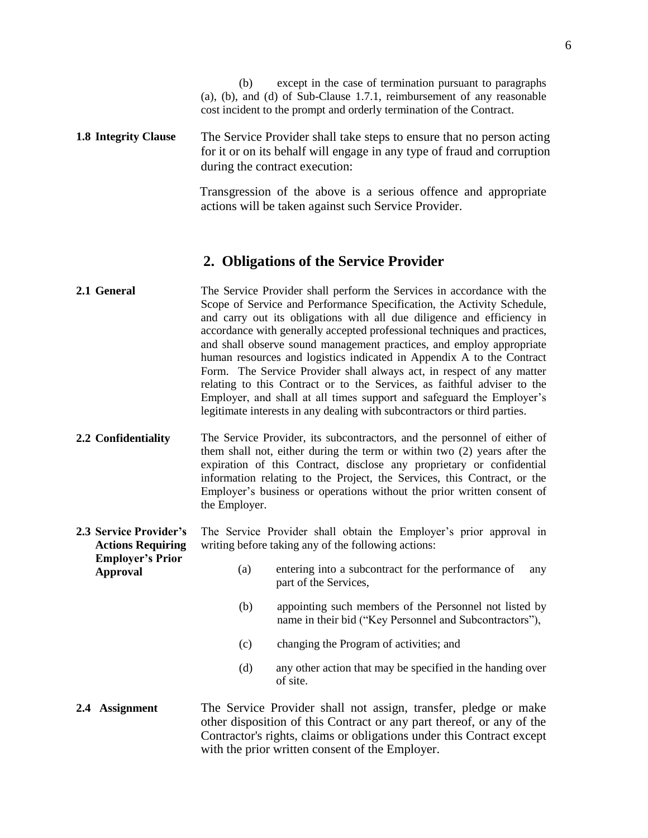(b) except in the case of termination pursuant to paragraphs (a), (b), and (d) of Sub-Clause 1.7.1, reimbursement of any reasonable cost incident to the prompt and orderly termination of the Contract.

<span id="page-5-0"></span>**1.8 Integrity Clause** The Service Provider shall take steps to ensure that no person acting for it or on its behalf will engage in any type of fraud and corruption during the contract execution:

> Transgression of the above is a serious offence and appropriate actions will be taken against such Service Provider.

## **2. Obligations of the Service Provider**

- <span id="page-5-2"></span><span id="page-5-1"></span>**2.1 General** The Service Provider shall perform the Services in accordance with the Scope of Service and Performance Specification, the Activity Schedule, and carry out its obligations with all due diligence and efficiency in accordance with generally accepted professional techniques and practices, and shall observe sound management practices, and employ appropriate human resources and logistics indicated in Appendix A to the Contract Form. The Service Provider shall always act, in respect of any matter relating to this Contract or to the Services, as faithful adviser to the Employer, and shall at all times support and safeguard the Employer's legitimate interests in any dealing with subcontractors or third parties.
- <span id="page-5-3"></span>**2.2 Confidentiality** The Service Provider, its subcontractors, and the personnel of either of them shall not, either during the term or within two (2) years after the expiration of this Contract, disclose any proprietary or confidential information relating to the Project, the Services, this Contract, or the Employer's business or operations without the prior written consent of the Employer.
- <span id="page-5-4"></span>**2.3 Service Provider's Actions Requiring Employer's Prior**  The Service Provider shall obtain the Employer's prior approval in writing before taking any of the following actions:

**Approval**

- (a) entering into a subcontract for the performance of any part of the Services,
- (b) appointing such members of the Personnel not listed by name in their bid ("Key Personnel and Subcontractors"),
- (c) changing the Program of activities; and
- (d) any other action that may be specified in the handing over of site.

### <span id="page-5-5"></span>**2.4 Assignment** The Service Provider shall not assign, transfer, pledge or make other disposition of this Contract or any part thereof, or any of the Contractor's rights, claims or obligations under this Contract except with the prior written consent of the Employer.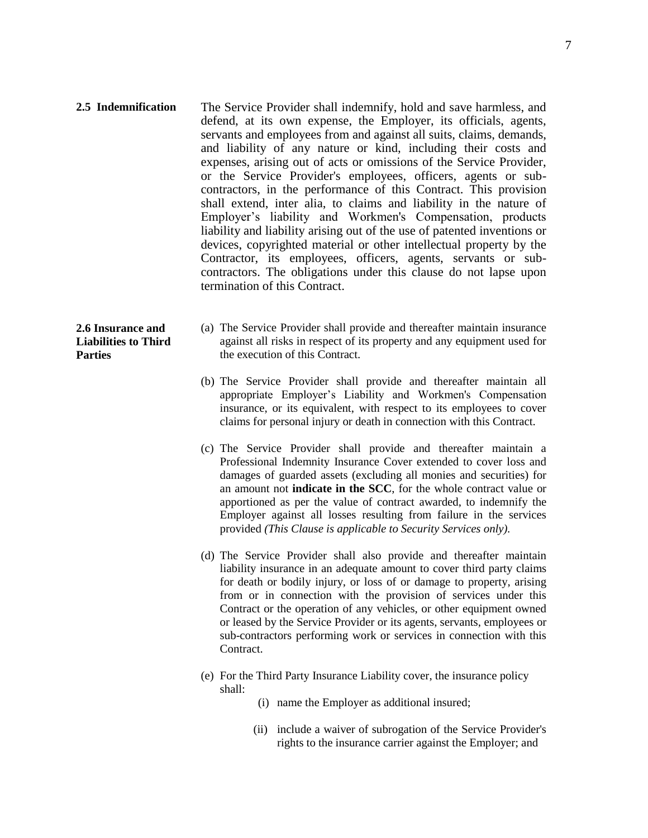<span id="page-6-0"></span>**2.5 Indemnification** The Service Provider shall indemnify, hold and save harmless, and defend, at its own expense, the Employer, its officials, agents, servants and employees from and against all suits, claims, demands, and liability of any nature or kind, including their costs and expenses, arising out of acts or omissions of the Service Provider, or the Service Provider's employees, officers, agents or subcontractors, in the performance of this Contract. This provision shall extend, inter alia, to claims and liability in the nature of Employer's liability and Workmen's Compensation, products liability and liability arising out of the use of patented inventions or devices, copyrighted material or other intellectual property by the Contractor, its employees, officers, agents, servants or subcontractors. The obligations under this clause do not lapse upon termination of this Contract.

### <span id="page-6-1"></span>**2.6 Insurance and Liabilities to Third Parties**

- (a) The Service Provider shall provide and thereafter maintain insurance against all risks in respect of its property and any equipment used for the execution of this Contract.
- (b) The Service Provider shall provide and thereafter maintain all appropriate Employer's Liability and Workmen's Compensation insurance, or its equivalent, with respect to its employees to cover claims for personal injury or death in connection with this Contract.
- (c) The Service Provider shall provide and thereafter maintain a Professional Indemnity Insurance Cover extended to cover loss and damages of guarded assets (excluding all monies and securities) for an amount not **indicate in the SCC**, for the whole contract value or apportioned as per the value of contract awarded, to indemnify the Employer against all losses resulting from failure in the services provided *(This Clause is applicable to Security Services only).*
- (d) The Service Provider shall also provide and thereafter maintain liability insurance in an adequate amount to cover third party claims for death or bodily injury, or loss of or damage to property, arising from or in connection with the provision of services under this Contract or the operation of any vehicles, or other equipment owned or leased by the Service Provider or its agents, servants, employees or sub-contractors performing work or services in connection with this Contract.
- (e) For the Third Party Insurance Liability cover, the insurance policy shall:
	- (i) name the Employer as additional insured;
	- (ii) include a waiver of subrogation of the Service Provider's rights to the insurance carrier against the Employer; and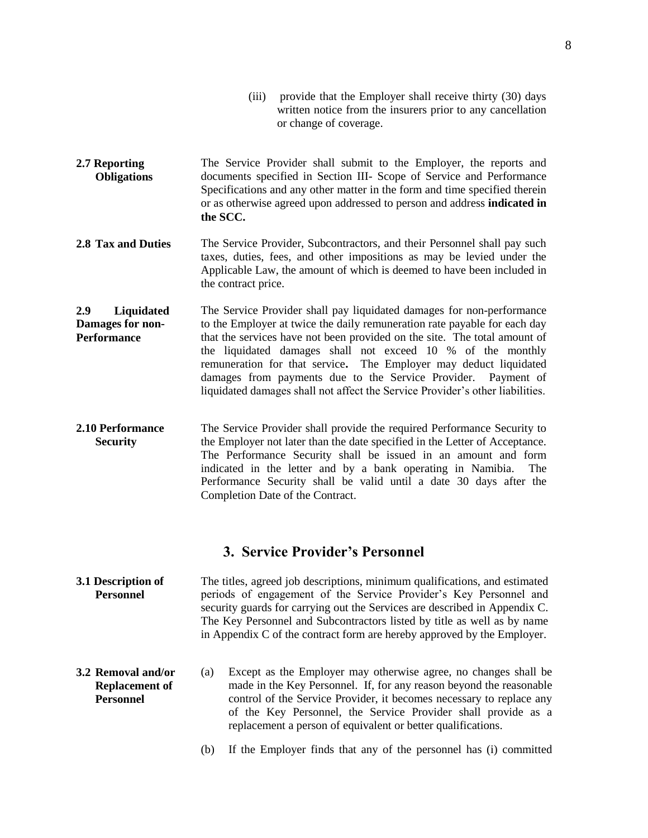- (iii) provide that the Employer shall receive thirty (30) days written notice from the insurers prior to any cancellation or change of coverage.
- <span id="page-7-0"></span>**2.7 Reporting Obligations** The Service Provider shall submit to the Employer, the reports and documents specified in Section III- Scope of Service and Performance Specifications and any other matter in the form and time specified therein or as otherwise agreed upon addressed to person and address **indicated in the SCC.**
- <span id="page-7-1"></span>**2.8 Tax and Duties** The Service Provider, Subcontractors, and their Personnel shall pay such taxes, duties, fees, and other impositions as may be levied under the Applicable Law, the amount of which is deemed to have been included in the contract price.
- <span id="page-7-2"></span>**2.9 Liquidated Damages for non-Performance** The Service Provider shall pay liquidated damages for non-performance to the Employer at twice the daily remuneration rate payable for each day that the services have not been provided on the site. The total amount of the liquidated damages shall not exceed 10 % of the monthly remuneration for that service**.** The Employer may deduct liquidated damages from payments due to the Service Provider. Payment of liquidated damages shall not affect the Service Provider's other liabilities.
- <span id="page-7-3"></span>**2.10 Performance Security** The Service Provider shall provide the required Performance Security to the Employer not later than the date specified in the Letter of Acceptance. The Performance Security shall be issued in an amount and form indicated in the letter and by a bank operating in Namibia. The Performance Security shall be valid until a date 30 days after the Completion Date of the Contract.

## **3. Service Provider's Personnel**

- <span id="page-7-5"></span><span id="page-7-4"></span>**3.1 Description of Personnel** The titles, agreed job descriptions, minimum qualifications, and estimated periods of engagement of the Service Provider's Key Personnel and security guards for carrying out the Services are described in Appendix C. The Key Personnel and Subcontractors listed by title as well as by name in Appendix C of the contract form are hereby approved by the Employer.
- <span id="page-7-6"></span>**3.2 Removal and/or Replacement of Personnel**
- (a) Except as the Employer may otherwise agree, no changes shall be made in the Key Personnel. If, for any reason beyond the reasonable control of the Service Provider, it becomes necessary to replace any of the Key Personnel, the Service Provider shall provide as a replacement a person of equivalent or better qualifications.
	- (b) If the Employer finds that any of the personnel has (i) committed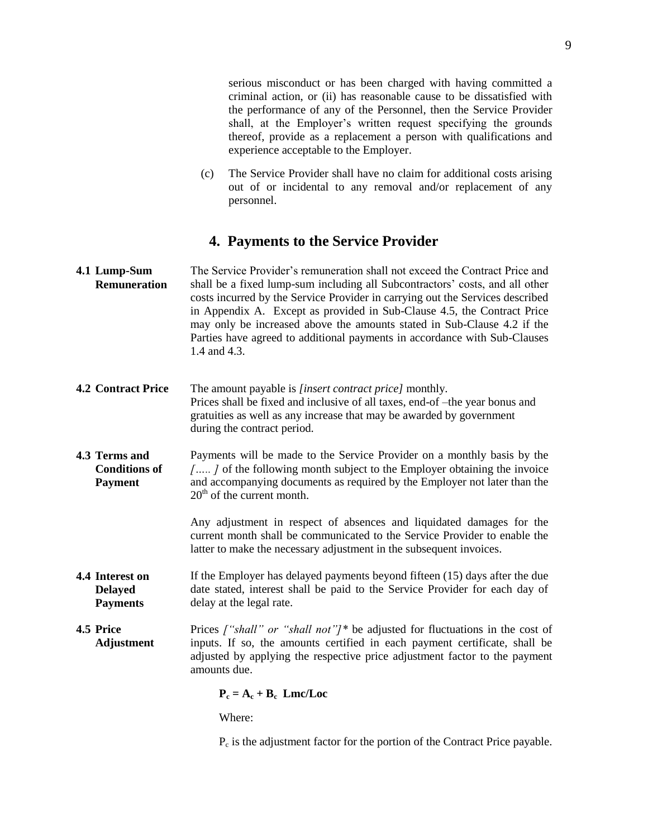serious misconduct or has been charged with having committed a criminal action, or (ii) has reasonable cause to be dissatisfied with the performance of any of the Personnel, then the Service Provider shall, at the Employer's written request specifying the grounds thereof, provide as a replacement a person with qualifications and experience acceptable to the Employer.

(c) The Service Provider shall have no claim for additional costs arising out of or incidental to any removal and/or replacement of any personnel.

## **4. Payments to the Service Provider**

<span id="page-8-1"></span><span id="page-8-0"></span>

| 4.1 Lump-Sum        | The Service Provider's remuneration shall not exceed the Contract Price and   |
|---------------------|-------------------------------------------------------------------------------|
| <b>Remuneration</b> | shall be a fixed lump-sum including all Subcontractors' costs, and all other  |
|                     | costs incurred by the Service Provider in carrying out the Services described |
|                     | in Appendix A. Except as provided in Sub-Clause 4.5, the Contract Price       |
|                     | may only be increased above the amounts stated in Sub-Clause 4.2 if the       |
|                     | Parties have agreed to additional payments in accordance with Sub-Clauses     |
|                     | 1.4 and 4.3.                                                                  |
|                     |                                                                               |

- <span id="page-8-2"></span>**4.2 Contract Price** The amount payable is *[insert contract price]* monthly. Prices shall be fixed and inclusive of all taxes, end-of –the year bonus and gratuities as well as any increase that may be awarded by government during the contract period.
- <span id="page-8-3"></span>**4.3 Terms and Conditions of Payment** Payments will be made to the Service Provider on a monthly basis by the *[….. ]* of the following month subject to the Employer obtaining the invoice and accompanying documents as required by the Employer not later than the  $20<sup>th</sup>$  of the current month.

Any adjustment in respect of absences and liquidated damages for the current month shall be communicated to the Service Provider to enable the latter to make the necessary adjustment in the subsequent invoices.

- <span id="page-8-4"></span>**4.4 Interest on Delayed Payments** If the Employer has delayed payments beyond fifteen (15) days after the due date stated, interest shall be paid to the Service Provider for each day of delay at the legal rate.
- <span id="page-8-5"></span>**4.5 Price Adjustment** Prices *["shall" or "shall not"]\** be adjusted for fluctuations in the cost of inputs. If so, the amounts certified in each payment certificate, shall be adjusted by applying the respective price adjustment factor to the payment amounts due.

 $P_c = A_c + B_c$  **Lmc/Loc** 

Where:

P<sub>c</sub> is the adjustment factor for the portion of the Contract Price payable.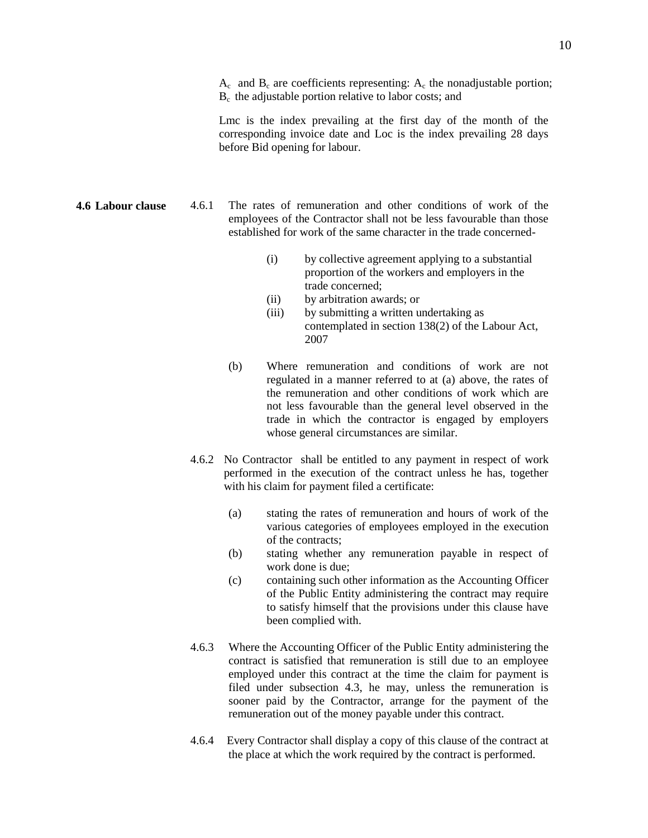$A_c$  and  $B_c$  are coefficients representing:  $A_c$  the nonadjustable portion; Bc the adjustable portion relative to labor costs; and

Lmc is the index prevailing at the first day of the month of the corresponding invoice date and Loc is the index prevailing 28 days before Bid opening for labour.

<span id="page-9-0"></span>**4.6 Labour clause** 4.6.1 The rates of remuneration and other conditions of work of the employees of the Contractor shall not be less favourable than those established for work of the same character in the trade concerned-

- (i) by collective agreement applying to a substantial proportion of the workers and employers in the trade concerned;
- (ii) by arbitration awards; or
- (iii) by submitting a written undertaking as contemplated in section 138(2) of the Labour Act, 2007
- (b) Where remuneration and conditions of work are not regulated in a manner referred to at (a) above, the rates of the remuneration and other conditions of work which are not less favourable than the general level observed in the trade in which the contractor is engaged by employers whose general circumstances are similar.
- 4.6.2 No Contractor shall be entitled to any payment in respect of work performed in the execution of the contract unless he has, together with his claim for payment filed a certificate:
	- (a) stating the rates of remuneration and hours of work of the various categories of employees employed in the execution of the contracts;
	- (b) stating whether any remuneration payable in respect of work done is due;
	- (c) containing such other information as the Accounting Officer of the Public Entity administering the contract may require to satisfy himself that the provisions under this clause have been complied with.
- 4.6.3 Where the Accounting Officer of the Public Entity administering the contract is satisfied that remuneration is still due to an employee employed under this contract at the time the claim for payment is filed under subsection 4.3, he may, unless the remuneration is sooner paid by the Contractor, arrange for the payment of the remuneration out of the money payable under this contract.
- 4.6.4 Every Contractor shall display a copy of this clause of the contract at the place at which the work required by the contract is performed.